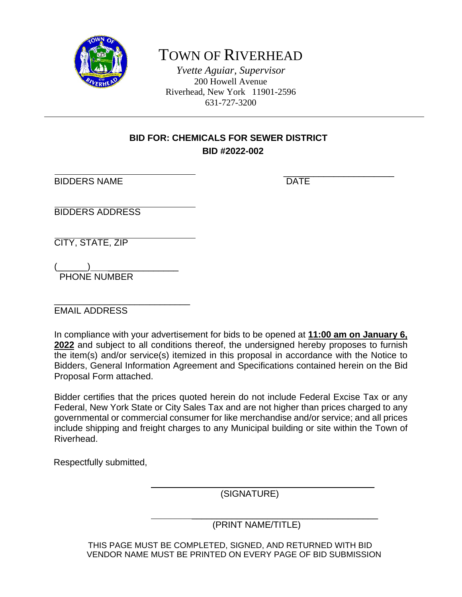

# TOWN OF RIVERHEAD

*Yvette Aguiar, Supervisor* 200 Howell Avenue Riverhead, New York 11901-2596 631-727-3200

## **BID FOR: CHEMICALS FOR SEWER DISTRICT BID #2022-002**

ֺ֖֚֝֬

BIDDERS NAME DATE

 $\frac{1}{\sqrt{2\pi}}$  , which is the set of the set of the set of the set of the set of the set of the set of the set of the set of the set of the set of the set of the set of the set of the set of the set of the set of the set

BIDDERS ADDRESS

CITY, STATE, ZIP

 $(\_\_)$ PHONE NUMBER

\_\_\_\_\_\_\_\_\_\_\_\_\_\_\_\_\_\_\_\_\_\_\_\_\_\_\_ EMAIL ADDRESS

In compliance with your advertisement for bids to be opened at **11:00 am on January 6, 2022** and subject to all conditions thereof, the undersigned hereby proposes to furnish the item(s) and/or service(s) itemized in this proposal in accordance with the Notice to Bidders, General Information Agreement and Specifications contained herein on the Bid Proposal Form attached.

Bidder certifies that the prices quoted herein do not include Federal Excise Tax or any Federal, New York State or City Sales Tax and are not higher than prices charged to any governmental or commercial consumer for like merchandise and/or service; and all prices include shipping and freight charges to any Municipal building or site within the Town of Riverhead.

Respectfully submitted,

(SIGNATURE)

 \_\_\_\_\_\_\_\_\_\_\_\_\_\_\_\_\_\_\_\_\_\_\_\_\_\_\_\_\_\_\_\_\_\_\_\_\_ (PRINT NAME/TITLE)

 $\mathcal{L}_\text{max}$  and  $\mathcal{L}_\text{max}$  and  $\mathcal{L}_\text{max}$  and  $\mathcal{L}_\text{max}$ 

 THIS PAGE MUST BE COMPLETED, SIGNED, AND RETURNED WITH BID VENDOR NAME MUST BE PRINTED ON EVERY PAGE OF BID SUBMISSION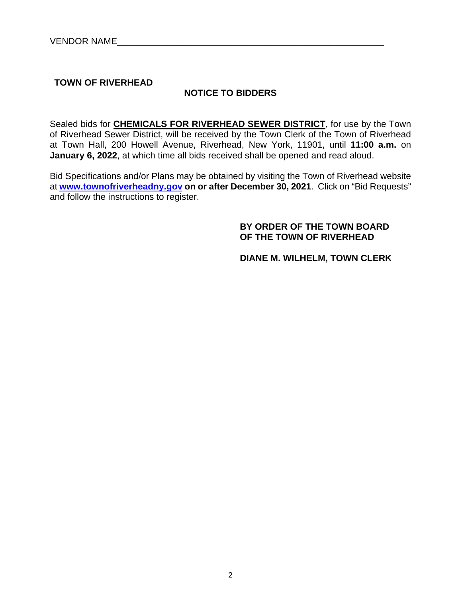**TOWN OF RIVERHEAD** 

## **NOTICE TO BIDDERS**

Sealed bids for **CHEMICALS FOR RIVERHEAD SEWER DISTRICT**, for use by the Town of Riverhead Sewer District, will be received by the Town Clerk of the Town of Riverhead at Town Hall, 200 Howell Avenue, Riverhead, New York, 11901, until **11:00 a.m.** on **January 6, 2022**, at which time all bids received shall be opened and read aloud.

Bid Specifications and/or Plans may be obtained by visiting the Town of Riverhead website at **www.townofriverheadny.gov on or after December 30, 2021**. Click on "Bid Requests" and follow the instructions to register.

## **BY ORDER OF THE TOWN BOARD OF THE TOWN OF RIVERHEAD**

 **DIANE M. WILHELM, TOWN CLERK**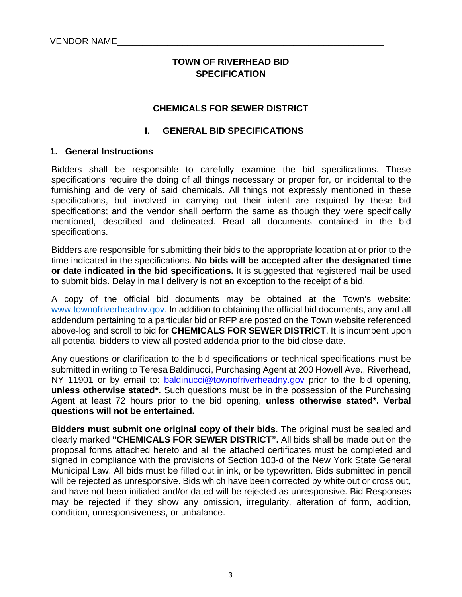## **TOWN OF RIVERHEAD BID SPECIFICATION**

#### **CHEMICALS FOR SEWER DISTRICT**

#### **I. GENERAL BID SPECIFICATIONS**

#### **1. General Instructions**

Bidders shall be responsible to carefully examine the bid specifications. These specifications require the doing of all things necessary or proper for, or incidental to the furnishing and delivery of said chemicals. All things not expressly mentioned in these specifications, but involved in carrying out their intent are required by these bid specifications; and the vendor shall perform the same as though they were specifically mentioned, described and delineated. Read all documents contained in the bid specifications.

Bidders are responsible for submitting their bids to the appropriate location at or prior to the time indicated in the specifications. **No bids will be accepted after the designated time or date indicated in the bid specifications.** It is suggested that registered mail be used to submit bids. Delay in mail delivery is not an exception to the receipt of a bid.

A copy of the official bid documents may be obtained at the Town's website: www.townofriverheadnv.gov. In addition to obtaining the official bid documents, any and all addendum pertaining to a particular bid or RFP are posted on the Town website referenced above-log and scroll to bid for **CHEMICALS FOR SEWER DISTRICT**. It is incumbent upon all potential bidders to view all posted addenda prior to the bid close date.

Any questions or clarification to the bid specifications or technical specifications must be submitted in writing to Teresa Baldinucci, Purchasing Agent at 200 Howell Ave., Riverhead, NY 11901 or by email to: baldinucci@townofriverheadny.gov prior to the bid opening, **unless otherwise stated\*.** Such questions must be in the possession of the Purchasing Agent at least 72 hours prior to the bid opening, **unless otherwise stated\*. Verbal questions will not be entertained.** 

**Bidders must submit one original copy of their bids.** The original must be sealed and clearly marked **"CHEMICALS FOR SEWER DISTRICT".** All bids shall be made out on the proposal forms attached hereto and all the attached certificates must be completed and signed in compliance with the provisions of Section 103-d of the New York State General Municipal Law. All bids must be filled out in ink, or be typewritten. Bids submitted in pencil will be rejected as unresponsive. Bids which have been corrected by white out or cross out, and have not been initialed and/or dated will be rejected as unresponsive. Bid Responses may be rejected if they show any omission, irregularity, alteration of form, addition, condition, unresponsiveness, or unbalance.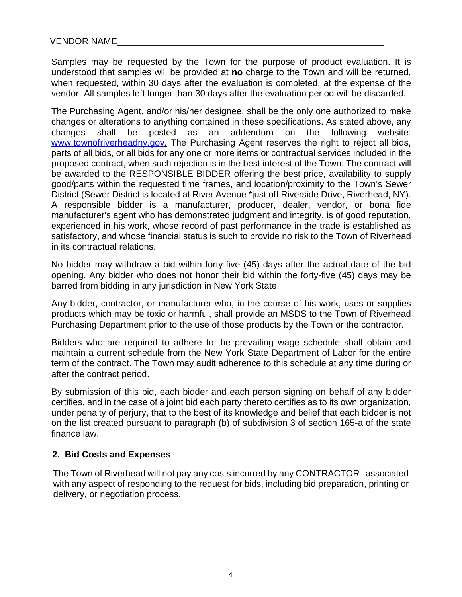Samples may be requested by the Town for the purpose of product evaluation. It is understood that samples will be provided at **no** charge to the Town and will be returned, when requested, within 30 days after the evaluation is completed, at the expense of the vendor. All samples left longer than 30 days after the evaluation period will be discarded.

The Purchasing Agent, and/or his/her designee, shall be the only one authorized to make changes or alterations to anything contained in these specifications. As stated above, any changes shall be posted as an addendum on the following website: www.townofriverheadny.gov. The Purchasing Agent reserves the right to reject all bids, parts of all bids, or all bids for any one or more items or contractual services included in the proposed contract, when such rejection is in the best interest of the Town. The contract will be awarded to the RESPONSIBLE BIDDER offering the best price, availability to supply good/parts within the requested time frames, and location/proximity to the Town's Sewer District (Sewer District is located at River Avenue \*just off Riverside Drive, Riverhead, NY). A responsible bidder is a manufacturer, producer, dealer, vendor, or bona fide manufacturer's agent who has demonstrated judgment and integrity, is of good reputation, experienced in his work, whose record of past performance in the trade is established as satisfactory, and whose financial status is such to provide no risk to the Town of Riverhead in its contractual relations.

No bidder may withdraw a bid within forty-five (45) days after the actual date of the bid opening. Any bidder who does not honor their bid within the forty-five (45) days may be barred from bidding in any jurisdiction in New York State.

Any bidder, contractor, or manufacturer who, in the course of his work, uses or supplies products which may be toxic or harmful, shall provide an MSDS to the Town of Riverhead Purchasing Department prior to the use of those products by the Town or the contractor.

Bidders who are required to adhere to the prevailing wage schedule shall obtain and maintain a current schedule from the New York State Department of Labor for the entire term of the contract. The Town may audit adherence to this schedule at any time during or after the contract period.

By submission of this bid, each bidder and each person signing on behalf of any bidder certifies, and in the case of a joint bid each party thereto certifies as to its own organization, under penalty of perjury, that to the best of its knowledge and belief that each bidder is not on the list created pursuant to paragraph (b) of subdivision 3 of section 165-a of the state finance law.

## **2. Bid Costs and Expenses**

 The Town of Riverhead will not pay any costs incurred by any CONTRACTOR associated with any aspect of responding to the request for bids, including bid preparation, printing or delivery, or negotiation process.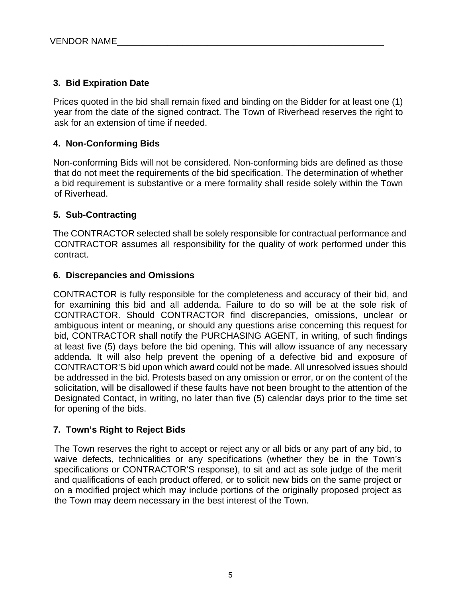## **3. Bid Expiration Date**

Prices quoted in the bid shall remain fixed and binding on the Bidder for at least one (1) year from the date of the signed contract. The Town of Riverhead reserves the right to ask for an extension of time if needed.

## **4. Non-Conforming Bids**

Non-conforming Bids will not be considered. Non-conforming bids are defined as those that do not meet the requirements of the bid specification. The determination of whether a bid requirement is substantive or a mere formality shall reside solely within the Town of Riverhead.

## **5. Sub-Contracting**

The CONTRACTOR selected shall be solely responsible for contractual performance and CONTRACTOR assumes all responsibility for the quality of work performed under this contract.

## **6. Discrepancies and Omissions**

CONTRACTOR is fully responsible for the completeness and accuracy of their bid, and for examining this bid and all addenda. Failure to do so will be at the sole risk of CONTRACTOR. Should CONTRACTOR find discrepancies, omissions, unclear or ambiguous intent or meaning, or should any questions arise concerning this request for bid, CONTRACTOR shall notify the PURCHASING AGENT, in writing, of such findings at least five (5) days before the bid opening. This will allow issuance of any necessary addenda. It will also help prevent the opening of a defective bid and exposure of CONTRACTOR'S bid upon which award could not be made. All unresolved issues should be addressed in the bid. Protests based on any omission or error, or on the content of the solicitation, will be disallowed if these faults have not been brought to the attention of the Designated Contact, in writing, no later than five (5) calendar days prior to the time set for opening of the bids.

## **7. Town's Right to Reject Bids**

The Town reserves the right to accept or reject any or all bids or any part of any bid, to waive defects, technicalities or any specifications (whether they be in the Town's specifications or CONTRACTOR'S response), to sit and act as sole judge of the merit and qualifications of each product offered, or to solicit new bids on the same project or on a modified project which may include portions of the originally proposed project as the Town may deem necessary in the best interest of the Town.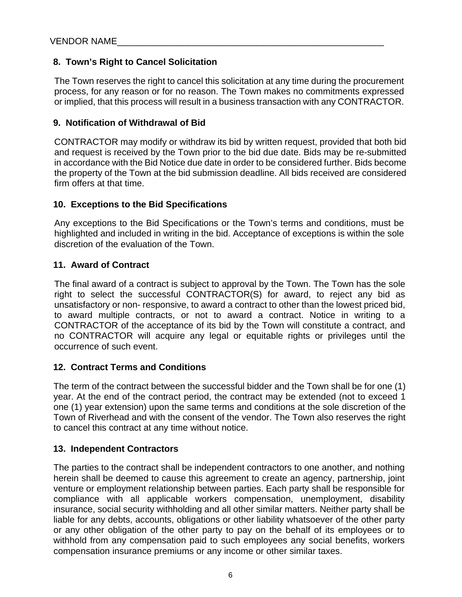## **8. Town's Right to Cancel Solicitation**

The Town reserves the right to cancel this solicitation at any time during the procurement process, for any reason or for no reason. The Town makes no commitments expressed or implied, that this process will result in a business transaction with any CONTRACTOR.

## **9. Notification of Withdrawal of Bid**

CONTRACTOR may modify or withdraw its bid by written request, provided that both bid and request is received by the Town prior to the bid due date. Bids may be re-submitted in accordance with the Bid Notice due date in order to be considered further. Bids become the property of the Town at the bid submission deadline. All bids received are considered firm offers at that time.

## **10. Exceptions to the Bid Specifications**

Any exceptions to the Bid Specifications or the Town's terms and conditions, must be highlighted and included in writing in the bid. Acceptance of exceptions is within the sole discretion of the evaluation of the Town.

## **11. Award of Contract**

The final award of a contract is subject to approval by the Town. The Town has the sole right to select the successful CONTRACTOR(S) for award, to reject any bid as unsatisfactory or non- responsive, to award a contract to other than the lowest priced bid, to award multiple contracts, or not to award a contract. Notice in writing to a CONTRACTOR of the acceptance of its bid by the Town will constitute a contract, and no CONTRACTOR will acquire any legal or equitable rights or privileges until the occurrence of such event.

## **12. Contract Terms and Conditions**

The term of the contract between the successful bidder and the Town shall be for one (1) year. At the end of the contract period, the contract may be extended (not to exceed 1 one (1) year extension) upon the same terms and conditions at the sole discretion of the Town of Riverhead and with the consent of the vendor. The Town also reserves the right to cancel this contract at any time without notice.

## **13. Independent Contractors**

The parties to the contract shall be independent contractors to one another, and nothing herein shall be deemed to cause this agreement to create an agency, partnership, joint venture or employment relationship between parties. Each party shall be responsible for compliance with all applicable workers compensation, unemployment, disability insurance, social security withholding and all other similar matters. Neither party shall be liable for any debts, accounts, obligations or other liability whatsoever of the other party or any other obligation of the other party to pay on the behalf of its employees or to withhold from any compensation paid to such employees any social benefits, workers compensation insurance premiums or any income or other similar taxes.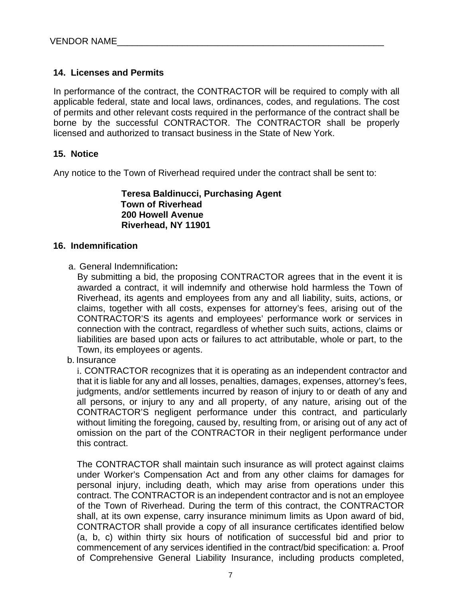## **14. Licenses and Permits**

In performance of the contract, the CONTRACTOR will be required to comply with all applicable federal, state and local laws, ordinances, codes, and regulations. The cost of permits and other relevant costs required in the performance of the contract shall be borne by the successful CONTRACTOR. The CONTRACTOR shall be properly licensed and authorized to transact business in the State of New York.

### **15. Notice**

Any notice to the Town of Riverhead required under the contract shall be sent to:

**Teresa Baldinucci, Purchasing Agent Town of Riverhead 200 Howell Avenue Riverhead, NY 11901** 

#### **16. Indemnification**

a. General Indemnification**:**

By submitting a bid, the proposing CONTRACTOR agrees that in the event it is awarded a contract, it will indemnify and otherwise hold harmless the Town of Riverhead, its agents and employees from any and all liability, suits, actions, or claims, together with all costs, expenses for attorney's fees, arising out of the CONTRACTOR'S its agents and employees' performance work or services in connection with the contract, regardless of whether such suits, actions, claims or liabilities are based upon acts or failures to act attributable, whole or part, to the Town, its employees or agents.

b. Insurance

i. CONTRACTOR recognizes that it is operating as an independent contractor and that it is liable for any and all losses, penalties, damages, expenses, attorney's fees, judgments, and/or settlements incurred by reason of injury to or death of any and all persons, or injury to any and all property, of any nature, arising out of the CONTRACTOR'S negligent performance under this contract, and particularly without limiting the foregoing, caused by, resulting from, or arising out of any act of omission on the part of the CONTRACTOR in their negligent performance under this contract.

The CONTRACTOR shall maintain such insurance as will protect against claims under Worker's Compensation Act and from any other claims for damages for personal injury, including death, which may arise from operations under this contract. The CONTRACTOR is an independent contractor and is not an employee of the Town of Riverhead. During the term of this contract, the CONTRACTOR shall, at its own expense, carry insurance minimum limits as Upon award of bid, CONTRACTOR shall provide a copy of all insurance certificates identified below (a, b, c) within thirty six hours of notification of successful bid and prior to commencement of any services identified in the contract/bid specification: a. Proof of Comprehensive General Liability Insurance, including products completed,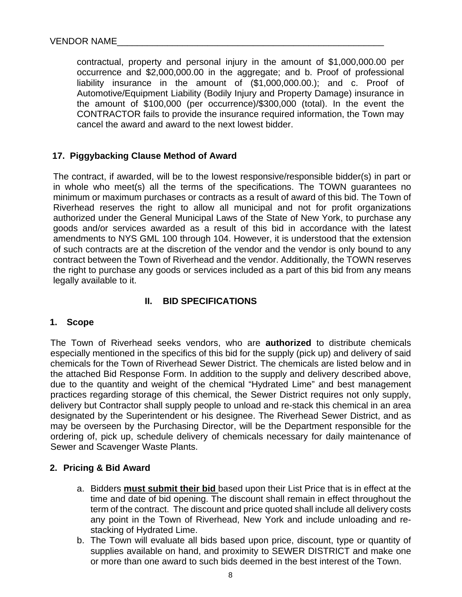contractual, property and personal injury in the amount of \$1,000,000.00 per occurrence and \$2,000,000.00 in the aggregate; and b. Proof of professional liability insurance in the amount of (\$1,000,000.00.); and c. Proof of Automotive/Equipment Liability (Bodily Injury and Property Damage) insurance in the amount of \$100,000 (per occurrence)/\$300,000 (total). In the event the CONTRACTOR fails to provide the insurance required information, the Town may cancel the award and award to the next lowest bidder.

## **17. Piggybacking Clause Method of Award**

The contract, if awarded, will be to the lowest responsive/responsible bidder(s) in part or in whole who meet(s) all the terms of the specifications. The TOWN guarantees no minimum or maximum purchases or contracts as a result of award of this bid. The Town of Riverhead reserves the right to allow all municipal and not for profit organizations authorized under the General Municipal Laws of the State of New York, to purchase any goods and/or services awarded as a result of this bid in accordance with the latest amendments to NYS GML 100 through 104. However, it is understood that the extension of such contracts are at the discretion of the vendor and the vendor is only bound to any contract between the Town of Riverhead and the vendor. Additionally, the TOWN reserves the right to purchase any goods or services included as a part of this bid from any means legally available to it.

## **II. BID SPECIFICATIONS**

#### **1. Scope**

The Town of Riverhead seeks vendors, who are **authorized** to distribute chemicals especially mentioned in the specifics of this bid for the supply (pick up) and delivery of said chemicals for the Town of Riverhead Sewer District. The chemicals are listed below and in the attached Bid Response Form. In addition to the supply and delivery described above, due to the quantity and weight of the chemical "Hydrated Lime" and best management practices regarding storage of this chemical, the Sewer District requires not only supply, delivery but Contractor shall supply people to unload and re-stack this chemical in an area designated by the Superintendent or his designee. The Riverhead Sewer District, and as may be overseen by the Purchasing Director, will be the Department responsible for the ordering of, pick up, schedule delivery of chemicals necessary for daily maintenance of Sewer and Scavenger Waste Plants.

#### **2. Pricing & Bid Award**

- a. Bidders **must submit their bid** based upon their List Price that is in effect at the time and date of bid opening. The discount shall remain in effect throughout the term of the contract. The discount and price quoted shall include all delivery costs any point in the Town of Riverhead, New York and include unloading and restacking of Hydrated Lime.
- b. The Town will evaluate all bids based upon price, discount, type or quantity of supplies available on hand, and proximity to SEWER DISTRICT and make one or more than one award to such bids deemed in the best interest of the Town.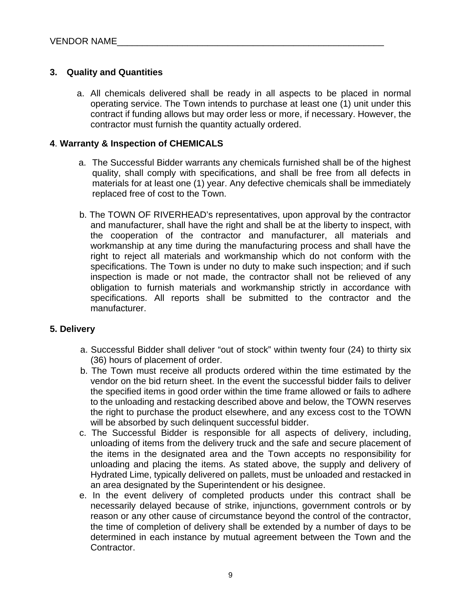## **3. Quality and Quantities**

a. All chemicals delivered shall be ready in all aspects to be placed in normal operating service. The Town intends to purchase at least one (1) unit under this contract if funding allows but may order less or more, if necessary. However, the contractor must furnish the quantity actually ordered.

### **4**. **Warranty & Inspection of CHEMICALS**

- a. The Successful Bidder warrants any chemicals furnished shall be of the highest quality, shall comply with specifications, and shall be free from all defects in materials for at least one (1) year. Any defective chemicals shall be immediately replaced free of cost to the Town.
- b. The TOWN OF RIVERHEAD's representatives, upon approval by the contractor and manufacturer, shall have the right and shall be at the liberty to inspect, with the cooperation of the contractor and manufacturer, all materials and workmanship at any time during the manufacturing process and shall have the right to reject all materials and workmanship which do not conform with the specifications. The Town is under no duty to make such inspection; and if such inspection is made or not made, the contractor shall not be relieved of any obligation to furnish materials and workmanship strictly in accordance with specifications. All reports shall be submitted to the contractor and the manufacturer.

## **5. Delivery**

- a. Successful Bidder shall deliver "out of stock" within twenty four (24) to thirty six (36) hours of placement of order.
- b. The Town must receive all products ordered within the time estimated by the vendor on the bid return sheet. In the event the successful bidder fails to deliver the specified items in good order within the time frame allowed or fails to adhere to the unloading and restacking described above and below, the TOWN reserves the right to purchase the product elsewhere, and any excess cost to the TOWN will be absorbed by such delinquent successful bidder.
- c. The Successful Bidder is responsible for all aspects of delivery, including, unloading of items from the delivery truck and the safe and secure placement of the items in the designated area and the Town accepts no responsibility for unloading and placing the items. As stated above, the supply and delivery of Hydrated Lime, typically delivered on pallets, must be unloaded and restacked in an area designated by the Superintendent or his designee.
- e. In the event delivery of completed products under this contract shall be necessarily delayed because of strike, injunctions, government controls or by reason or any other cause of circumstance beyond the control of the contractor, the time of completion of delivery shall be extended by a number of days to be determined in each instance by mutual agreement between the Town and the Contractor.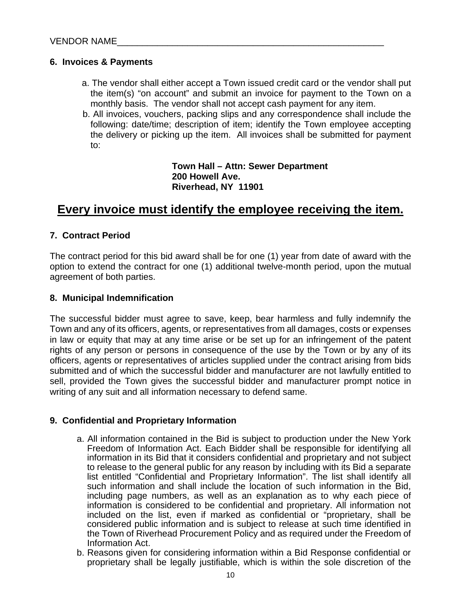## **6. Invoices & Payments**

- a. The vendor shall either accept a Town issued credit card or the vendor shall put the item(s) "on account" and submit an invoice for payment to the Town on a monthly basis. The vendor shall not accept cash payment for any item.
- b. All invoices, vouchers, packing slips and any correspondence shall include the following: date/time; description of item; identify the Town employee accepting the delivery or picking up the item. All invoices shall be submitted for payment to:

**Town Hall – Attn: Sewer Department 200 Howell Ave. Riverhead, NY 11901** 

## **Every invoice must identify the employee receiving the item.**

## **7. Contract Period**

The contract period for this bid award shall be for one (1) year from date of award with the option to extend the contract for one (1) additional twelve-month period, upon the mutual agreement of both parties.

### **8. Municipal Indemnification**

The successful bidder must agree to save, keep, bear harmless and fully indemnify the Town and any of its officers, agents, or representatives from all damages, costs or expenses in law or equity that may at any time arise or be set up for an infringement of the patent rights of any person or persons in consequence of the use by the Town or by any of its officers, agents or representatives of articles supplied under the contract arising from bids submitted and of which the successful bidder and manufacturer are not lawfully entitled to sell, provided the Town gives the successful bidder and manufacturer prompt notice in writing of any suit and all information necessary to defend same.

## **9. Confidential and Proprietary Information**

- a. All information contained in the Bid is subject to production under the New York Freedom of Information Act. Each Bidder shall be responsible for identifying all information in its Bid that it considers confidential and proprietary and not subject to release to the general public for any reason by including with its Bid a separate list entitled "Confidential and Proprietary Information". The list shall identify all such information and shall include the location of such information in the Bid, including page numbers, as well as an explanation as to why each piece of information is considered to be confidential and proprietary. All information not included on the list, even if marked as confidential or "proprietary, shall be considered public information and is subject to release at such time identified in the Town of Riverhead Procurement Policy and as required under the Freedom of Information Act.
- b. Reasons given for considering information within a Bid Response confidential or proprietary shall be legally justifiable, which is within the sole discretion of the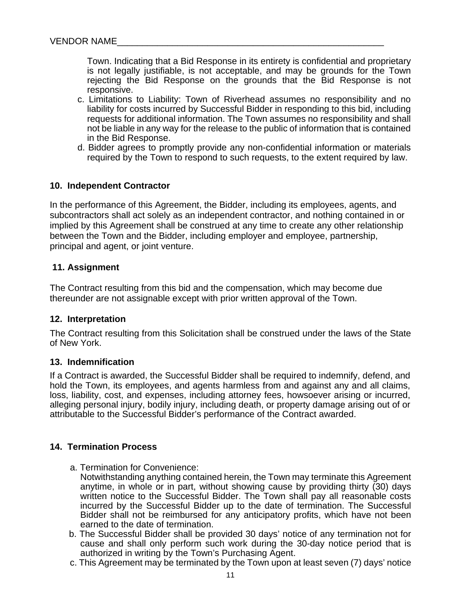Town. Indicating that a Bid Response in its entirety is confidential and proprietary is not legally justifiable, is not acceptable, and may be grounds for the Town rejecting the Bid Response on the grounds that the Bid Response is not responsive.

- c. Limitations to Liability: Town of Riverhead assumes no responsibility and no liability for costs incurred by Successful Bidder in responding to this bid, including requests for additional information. The Town assumes no responsibility and shall not be liable in any way for the release to the public of information that is contained in the Bid Response.
- d. Bidder agrees to promptly provide any non-confidential information or materials required by the Town to respond to such requests, to the extent required by law.

#### **10. Independent Contractor**

In the performance of this Agreement, the Bidder, including its employees, agents, and subcontractors shall act solely as an independent contractor, and nothing contained in or implied by this Agreement shall be construed at any time to create any other relationship between the Town and the Bidder, including employer and employee, partnership, principal and agent, or joint venture.

#### **11. Assignment**

The Contract resulting from this bid and the compensation, which may become due thereunder are not assignable except with prior written approval of the Town.

#### **12. Interpretation**

The Contract resulting from this Solicitation shall be construed under the laws of the State of New York.

#### **13. Indemnification**

If a Contract is awarded, the Successful Bidder shall be required to indemnify, defend, and hold the Town, its employees, and agents harmless from and against any and all claims, loss, liability, cost, and expenses, including attorney fees, howsoever arising or incurred, alleging personal injury, bodily injury, including death, or property damage arising out of or attributable to the Successful Bidder's performance of the Contract awarded.

#### **14. Termination Process**

- a. Termination for Convenience:
	- Notwithstanding anything contained herein, the Town may terminate this Agreement anytime, in whole or in part, without showing cause by providing thirty (30) days written notice to the Successful Bidder. The Town shall pay all reasonable costs incurred by the Successful Bidder up to the date of termination. The Successful Bidder shall not be reimbursed for any anticipatory profits, which have not been earned to the date of termination.
- b. The Successful Bidder shall be provided 30 days' notice of any termination not for cause and shall only perform such work during the 30-day notice period that is authorized in writing by the Town's Purchasing Agent.
- c. This Agreement may be terminated by the Town upon at least seven (7) days' notice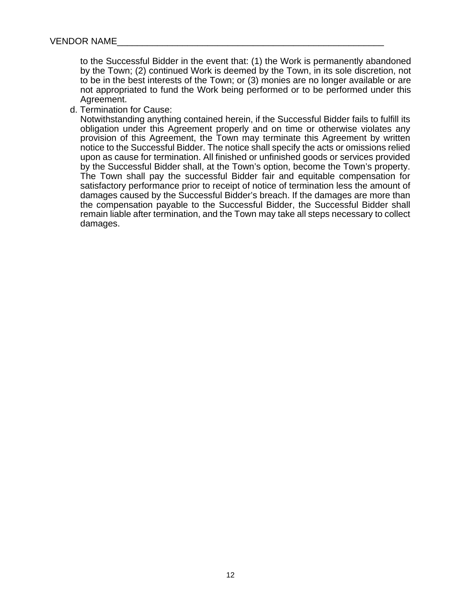to the Successful Bidder in the event that: (1) the Work is permanently abandoned by the Town; (2) continued Work is deemed by the Town, in its sole discretion, not to be in the best interests of the Town; or (3) monies are no longer available or are not appropriated to fund the Work being performed or to be performed under this Agreement.

d. Termination for Cause:

Notwithstanding anything contained herein, if the Successful Bidder fails to fulfill its obligation under this Agreement properly and on time or otherwise violates any provision of this Agreement, the Town may terminate this Agreement by written notice to the Successful Bidder. The notice shall specify the acts or omissions relied upon as cause for termination. All finished or unfinished goods or services provided by the Successful Bidder shall, at the Town's option, become the Town's property. The Town shall pay the successful Bidder fair and equitable compensation for satisfactory performance prior to receipt of notice of termination less the amount of damages caused by the Successful Bidder's breach. If the damages are more than the compensation payable to the Successful Bidder, the Successful Bidder shall remain liable after termination, and the Town may take all steps necessary to collect damages.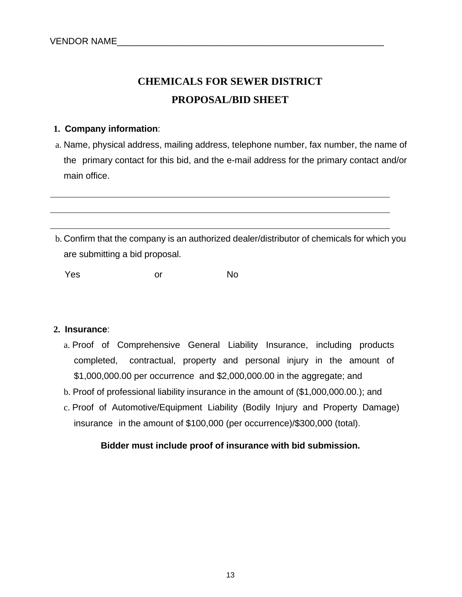# **CHEMICALS FOR SEWER DISTRICT PROPOSAL/BID SHEET**

### **1. Company information**:

- a. Name, physical address, mailing address, telephone number, fax number, the name of the primary contact for this bid, and the e-mail address for the primary contact and/or main office.
- b. Confirm that the company is an authorized dealer/distributor of chemicals for which you are submitting a bid proposal.

Yes or No

#### **2. Insurance**:

- a. Proof of Comprehensive General Liability Insurance, including products completed, contractual, property and personal injury in the amount of \$1,000,000.00 per occurrence and \$2,000,000.00 in the aggregate; and
- b. Proof of professional liability insurance in the amount of (\$1,000,000.00.); and
- c. Proof of Automotive/Equipment Liability (Bodily Injury and Property Damage) insurance in the amount of \$100,000 (per occurrence)/\$300,000 (total).

## **Bidder must include proof of insurance with bid submission.**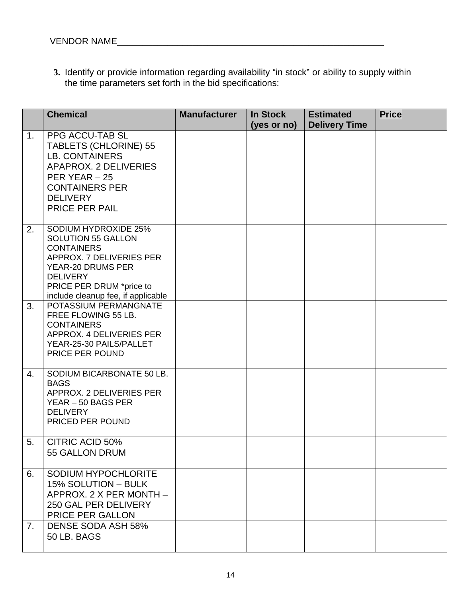**3.** Identify or provide information regarding availability "in stock" or ability to supply within the time parameters set forth in the bid specifications:

|    | <b>Chemical</b>                                                                                                                                                                                                     | <b>Manufacturer</b> | <b>In Stock</b><br>(yes or no) | <b>Estimated</b><br><b>Delivery Time</b> | <b>Price</b> |
|----|---------------------------------------------------------------------------------------------------------------------------------------------------------------------------------------------------------------------|---------------------|--------------------------------|------------------------------------------|--------------|
| 1. | <b>PPG ACCU-TAB SL</b><br><b>TABLETS (CHLORINE) 55</b><br><b>LB. CONTAINERS</b><br>APAPROX. 2 DELIVERIES<br>PER YEAR $-25$<br><b>CONTAINERS PER</b><br><b>DELIVERY</b><br><b>PRICE PER PAIL</b>                     |                     |                                |                                          |              |
| 2. | <b>SODIUM HYDROXIDE 25%</b><br><b>SOLUTION 55 GALLON</b><br><b>CONTAINERS</b><br>APPROX. 7 DELIVERIES PER<br>YEAR-20 DRUMS PER<br><b>DELIVERY</b><br>PRICE PER DRUM *price to<br>include cleanup fee, if applicable |                     |                                |                                          |              |
| 3. | POTASSIUM PERMANGNATE<br>FREE FLOWING 55 LB.<br><b>CONTAINERS</b><br>APPROX. 4 DELIVERIES PER<br>YEAR-25-30 PAILS/PALLET<br>PRICE PER POUND                                                                         |                     |                                |                                          |              |
| 4. | SODIUM BICARBONATE 50 LB.<br><b>BAGS</b><br>APPROX. 2 DELIVERIES PER<br>YEAR - 50 BAGS PER<br><b>DELIVERY</b><br>PRICED PER POUND                                                                                   |                     |                                |                                          |              |
| 5. | CITRIC ACID 50%<br>55 GALLON DRUM                                                                                                                                                                                   |                     |                                |                                          |              |
| 6. | SODIUM HYPOCHLORITE<br>15% SOLUTION - BULK<br>APPROX. 2 X PER MONTH -<br>250 GAL PER DELIVERY<br>PRICE PER GALLON                                                                                                   |                     |                                |                                          |              |
| 7. | <b>DENSE SODA ASH 58%</b><br>50 LB. BAGS                                                                                                                                                                            |                     |                                |                                          |              |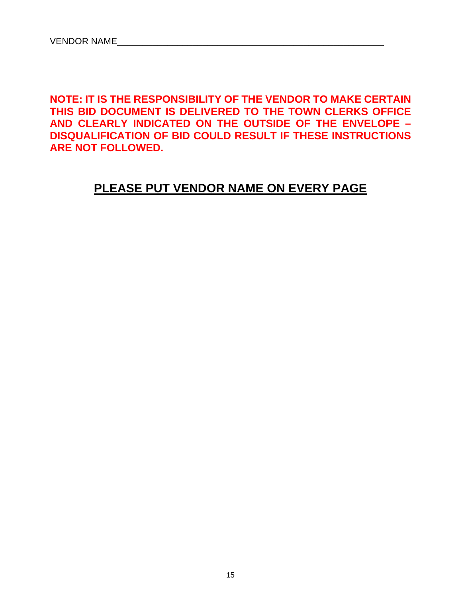**NOTE: IT IS THE RESPONSIBILITY OF THE VENDOR TO MAKE CERTAIN THIS BID DOCUMENT IS DELIVERED TO THE TOWN CLERKS OFFICE AND CLEARLY INDICATED ON THE OUTSIDE OF THE ENVELOPE – DISQUALIFICATION OF BID COULD RESULT IF THESE INSTRUCTIONS ARE NOT FOLLOWED.** 

## **PLEASE PUT VENDOR NAME ON EVERY PAGE**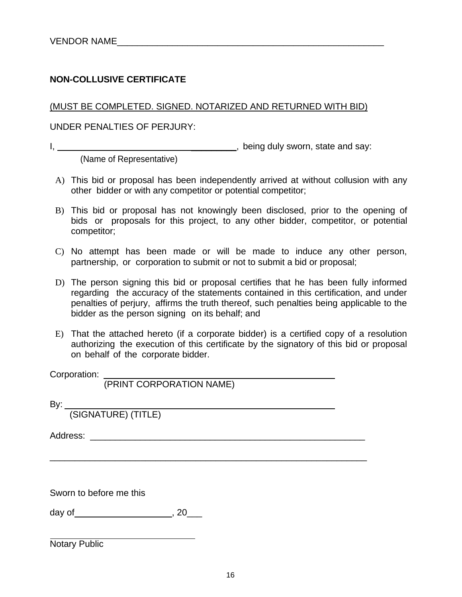## **NON-COLLUSIVE CERTIFICATE**

(MUST BE COMPLETED. SIGNED. NOTARIZED AND RETURNED WITH BID)

UNDER PENALTIES OF PERJURY:

I, \_\_\_\_\_\_\_\_\_, being duly sworn, state and say:

(Name of Representative)

- A) This bid or proposal has been independently arrived at without collusion with any other bidder or with any competitor or potential competitor;
- B) This bid or proposal has not knowingly been disclosed, prior to the opening of bids or proposals for this project, to any other bidder, competitor, or potential competitor;
- C) No attempt has been made or will be made to induce any other person, partnership, or corporation to submit or not to submit a bid or proposal;
- D) The person signing this bid or proposal certifies that he has been fully informed regarding the accuracy of the statements contained in this certification, and under penalties of perjury, affirms the truth thereof, such penalties being applicable to the bidder as the person signing on its behalf; and
- E) That the attached hereto (if a corporate bidder) is a certified copy of a resolution authorizing the execution of this certificate by the signatory of this bid or proposal on behalf of the corporate bidder.

\_\_\_\_\_\_\_\_\_\_\_\_\_\_\_\_\_\_\_\_\_\_\_\_\_\_\_\_\_\_\_\_\_\_\_\_\_\_\_\_\_\_\_\_\_\_\_\_\_\_\_\_\_\_\_\_\_\_\_\_\_\_\_

Corporation:

(PRINT CORPORATION NAME)

By:

(SIGNATURE) (TITLE)

Address: \_\_\_\_\_\_\_\_\_\_\_\_\_\_\_\_\_\_\_\_\_\_\_\_\_\_\_\_\_\_\_\_\_\_\_\_\_\_\_\_\_\_\_\_\_\_\_\_\_\_\_\_\_\_\_

Sworn to before me this

day of  $, 20$  ,  $, 20$  ,  $, 20$  ,  $, 20$  ,  $, 20$  ,  $, 20$  ,  $, 20$  ,  $, 20$  ,  $, 20$  ,  $, 20$  ,  $, 20$  ,  $, 20$  ,  $, 20$  ,  $, 20$  ,  $, 20$  ,  $, 20$  ,  $, 20$  ,  $, 20$  ,  $, 20$  ,  $, 20$  ,  $, 20$  ,  $, 20$  ,  $, 20$  ,  $, 20$ 

Notary Public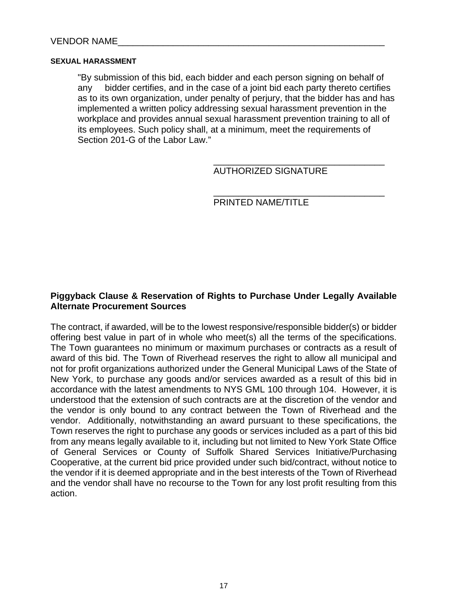#### **SEXUAL HARASSMENT**

"By submission of this bid, each bidder and each person signing on behalf of any bidder certifies, and in the case of a joint bid each party thereto certifies as to its own organization, under penalty of perjury, that the bidder has and has implemented a written policy addressing sexual harassment prevention in the workplace and provides annual sexual harassment prevention training to all of its employees. Such policy shall, at a minimum, meet the requirements of Section 201-G of the Labor Law."

 $\overline{\phantom{a}}$  , and the contract of the contract of the contract of the contract of the contract of the contract of the contract of the contract of the contract of the contract of the contract of the contract of the contrac

AUTHORIZED SIGNATURE

\_\_\_\_\_\_\_\_\_\_\_\_\_\_\_\_\_\_\_\_\_\_\_\_\_\_\_\_\_\_\_\_\_\_

PRINTED NAME/TITLE

#### **Piggyback Clause & Reservation of Rights to Purchase Under Legally Available Alternate Procurement Sources**

The contract, if awarded, will be to the lowest responsive/responsible bidder(s) or bidder offering best value in part of in whole who meet(s) all the terms of the specifications. The Town guarantees no minimum or maximum purchases or contracts as a result of award of this bid. The Town of Riverhead reserves the right to allow all municipal and not for profit organizations authorized under the General Municipal Laws of the State of New York, to purchase any goods and/or services awarded as a result of this bid in accordance with the latest amendments to NYS GML 100 through 104. However, it is understood that the extension of such contracts are at the discretion of the vendor and the vendor is only bound to any contract between the Town of Riverhead and the vendor. Additionally, notwithstanding an award pursuant to these specifications, the Town reserves the right to purchase any goods or services included as a part of this bid from any means legally available to it, including but not limited to New York State Office of General Services or County of Suffolk Shared Services Initiative/Purchasing Cooperative, at the current bid price provided under such bid/contract, without notice to the vendor if it is deemed appropriate and in the best interests of the Town of Riverhead and the vendor shall have no recourse to the Town for any lost profit resulting from this action.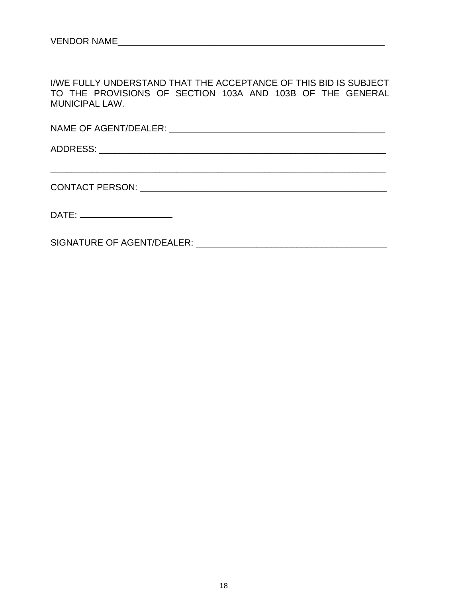I/WE FULLY UNDERSTAND THAT THE ACCEPTANCE OF THIS BID IS SUBJECT TO THE PROVISIONS OF SECTION 103A AND 103B OF THE GENERAL MUNICIPAL LAW.

**\_\_\_\_\_\_\_\_\_\_\_\_\_\_\_\_\_\_\_\_\_\_\_\_\_\_\_\_\_\_\_\_\_\_\_\_\_\_\_\_\_\_\_\_\_\_\_\_\_\_\_\_\_\_\_\_\_\_\_\_\_\_\_\_\_\_\_\_\_\_\_\_\_\_\_\_\_\_\_\_** 

NAME OF AGENT/DEALER: \_\_\_\_\_\_

ADDRESS: \_\_\_\_\_\_\_\_\_\_\_\_\_\_\_\_\_\_\_\_\_\_\_\_\_\_\_\_\_\_\_\_\_\_\_\_\_\_\_\_\_\_\_\_\_\_\_\_\_\_\_\_\_\_\_\_\_

CONTACT PERSON: \_\_\_\_\_\_\_\_\_\_\_\_\_\_\_\_\_\_\_\_\_\_\_\_\_\_\_\_\_\_\_\_\_\_\_\_\_\_\_\_\_\_\_\_\_\_\_\_\_

DATE: \_\_\_\_\_\_\_\_\_\_\_\_\_\_\_\_\_\_\_\_\_\_\_\_

SIGNATURE OF AGENT/DEALER: \_\_\_\_\_\_\_\_\_\_\_\_\_\_\_\_\_\_\_\_\_\_\_\_\_\_\_\_\_\_\_\_\_\_\_\_\_\_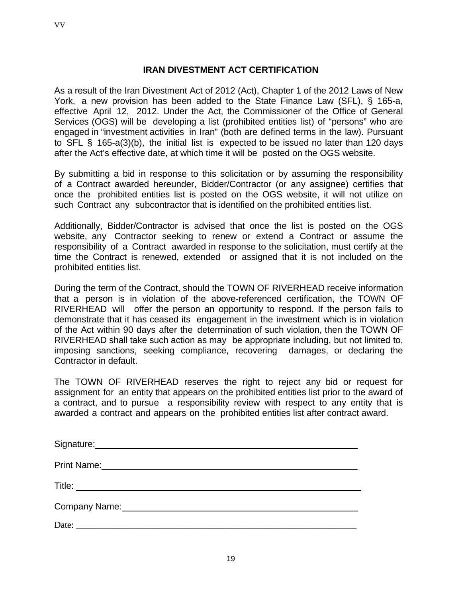VV

## **IRAN DIVESTMENT ACT CERTIFICATION**

As a result of the Iran Divestment Act of 2012 (Act), Chapter 1 of the 2012 Laws of New York, a new provision has been added to the State Finance Law (SFL), § 165-a, effective April 12, 2012. Under the Act, the Commissioner of the Office of General Services (OGS) will be developing a list (prohibited entities list) of "persons" who are engaged in "investment activities in Iran" (both are defined terms in the law). Pursuant to SFL § 165-a(3)(b), the initial list is expected to be issued no later than 120 days after the Act's effective date, at which time it will be posted on the OGS website.

By submitting a bid in response to this solicitation or by assuming the responsibility of a Contract awarded hereunder, Bidder/Contractor (or any assignee) certifies that once the prohibited entities list is posted on the OGS website, it will not utilize on such Contract any subcontractor that is identified on the prohibited entities list.

Additionally, Bidder/Contractor is advised that once the list is posted on the OGS website, any Contractor seeking to renew or extend a Contract or assume the responsibility of a Contract awarded in response to the solicitation, must certify at the time the Contract is renewed, extended or assigned that it is not included on the prohibited entities list.

During the term of the Contract, should the TOWN OF RIVERHEAD receive information that a person is in violation of the above-referenced certification, the TOWN OF RIVERHEAD will offer the person an opportunity to respond. If the person fails to demonstrate that it has ceased its engagement in the investment which is in violation of the Act within 90 days after the determination of such violation, then the TOWN OF RIVERHEAD shall take such action as may be appropriate including, but not limited to, imposing sanctions, seeking compliance, recovering damages, or declaring the Contractor in default.

The TOWN OF RIVERHEAD reserves the right to reject any bid or request for assignment for an entity that appears on the prohibited entities list prior to the award of a contract, and to pursue a responsibility review with respect to any entity that is awarded a contract and appears on the prohibited entities list after contract award.

| <b>Print Name:</b><br><u> 1989 - Andrea Station Barbara, amerikan personal di sebagai personal di sebagai personal di sebagai personal </u> |
|---------------------------------------------------------------------------------------------------------------------------------------------|
|                                                                                                                                             |
| Company Name: Company Name:                                                                                                                 |
| Date:<br><u> 1980 - Jan James Barnett, fransk politik (d. 1980)</u>                                                                         |